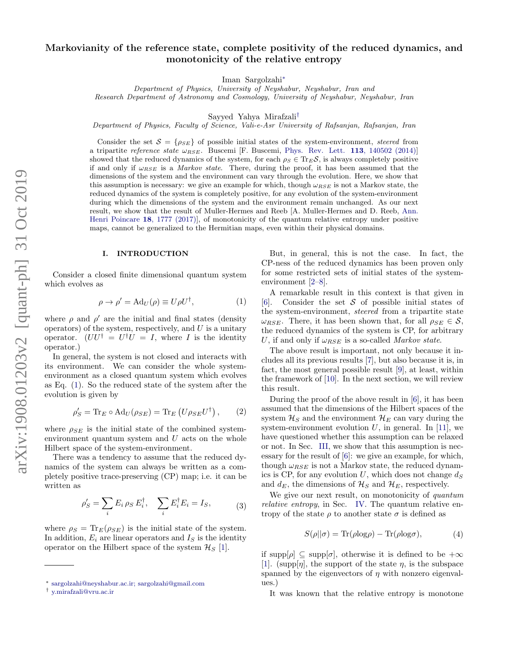# Markovianity of the reference state, complete positivity of the reduced dynamics, and monotonicity of the relative entropy

Iman Sargolzahi[∗](#page-0-0)

Department of Physics, University of Neyshabur, Neyshabur, Iran and Research Department of Astronomy and Cosmology, University of Neyshabur, Neyshabur, Iran

Sayyed Yahya Mirafzali[†](#page-0-1)

Department of Physics, Faculty of Science, Vali-e-Asr University of Rafsanjan, Rafsanjan, Iran

Consider the set  $S = \{\rho_{SE}\}\$  of possible initial states of the system-environment, steered from a tripartite reference state  $\omega_{RSE}$ . Buscemi [F. Buscemi, [Phys. Rev. Lett.](http://dx.doi.org/10.1103/PhysRevLett.113.140502) 113, 140502 (2014)] showed that the reduced dynamics of the system, for each  $\rho_S \in \text{Tr}_E \mathcal{S}$ , is always completely positive if and only if  $\omega_{RSE}$  is a *Markov state*. There, during the proof, it has been assumed that the dimensions of the system and the environment can vary through the evolution. Here, we show that this assumption is necessary: we give an example for which, though  $\omega_{RSE}$  is not a Markov state, the reduced dynamics of the system is completely positive, for any evolution of the system-environment during which the dimensions of the system and the environment remain unchanged. As our next result, we show that the result of Muller-Hermes and Reeb [A. Muller-Hermes and D. Reeb, [Ann.](https://link.springer.com/article/10.1007%2Fs00023-017-0550-9) [Henri Poincare](https://link.springer.com/article/10.1007%2Fs00023-017-0550-9) 18, 1777 (2017)], of monotonicity of the quantum relative entropy under positive maps, cannot be generalized to the Hermitian maps, even within their physical domains.

#### I. INTRODUCTION

Consider a closed finite dimensional quantum system which evolves as

<span id="page-0-2"></span>
$$
\rho \to \rho' = \text{Ad}_U(\rho) \equiv U \rho U^{\dagger}, \tag{1}
$$

where  $\rho$  and  $\rho'$  are the initial and final states (density operators) of the system, respectively, and  $U$  is a unitary operator.  $(UU^{\dagger} = U^{\dagger}U = I$ , where I is the identity operator.)

In general, the system is not closed and interacts with its environment. We can consider the whole systemenvironment as a closed quantum system which evolves as Eq. [\(1\)](#page-0-2). So the reduced state of the system after the evolution is given by

<span id="page-0-3"></span>
$$
\rho'_{S} = \text{Tr}_{E} \circ \text{Ad}_{U}(\rho_{SE}) = \text{Tr}_{E} (U \rho_{SE} U^{\dagger}), \qquad (2)
$$

where  $\rho_{SE}$  is the initial state of the combined systemenvironment quantum system and  $U$  acts on the whole Hilbert space of the system-environment.

There was a tendency to assume that the reduced dynamics of the system can always be written as a completely positive trace-preserving (CP) map; i.e. it can be written as

<span id="page-0-4"></span>
$$
\rho_S' = \sum_i E_i \,\rho_S E_i^\dagger, \quad \sum_i E_i^\dagger E_i = I_S,\tag{3}
$$

where  $\rho_S = \text{Tr}_E(\rho_{SE})$  is the initial state of the system. In addition,  $E_i$  are linear operators and  $I_S$  is the identity operator on the Hilbert space of the system  $\mathcal{H}_{S}$  [\[1\]](#page-6-0).

But, in general, this is not the case. In fact, the CP-ness of the reduced dynamics has been proven only for some restricted sets of initial states of the systemenvironment [\[2](#page-6-1)[–8\]](#page-7-0).

A remarkable result in this context is that given in [\[6\]](#page-6-2). Consider the set  $\mathcal S$  of possible initial states of the system-environment, steered from a tripartite state  $\omega_{RSE}$ . There, it has been shown that, for all  $\rho_{SE} \in \mathcal{S}$ , the reduced dynamics of the system is CP, for arbitrary U, if and only if  $\omega_{RSE}$  is a so-called Markov state.

The above result is important, not only because it includes all its previous results [\[7\]](#page-6-3), but also because it is, in fact, the most general possible result [\[9\]](#page-7-1), at least, within the framework of [\[10\]](#page-7-2). In the next section, we will review this result.

During the proof of the above result in [\[6\]](#page-6-2), it has been assumed that the dimensions of the Hilbert spaces of the system  $\mathcal{H}_S$  and the environment  $\mathcal{H}_E$  can vary during the system-environment evolution  $U$ , in general. In [\[11\]](#page-7-3), we have questioned whether this assumption can be relaxed or not. In Sec. [III,](#page-2-0) we show that this assumption is necessary for the result of [\[6\]](#page-6-2): we give an example, for which, though  $\omega_{BSE}$  is not a Markov state, the reduced dynamics is CP, for any evolution  $U$ , which does not change  $d_S$ and  $d_E$ , the dimensions of  $\mathcal{H}_S$  and  $\mathcal{H}_E$ , respectively.

We give our next result, on monotonicity of *quantum* relative entropy, in Sec. [IV.](#page-4-0) The quantum relative entropy of the state  $\rho$  to another state  $\sigma$  is defined as

<span id="page-0-5"></span>
$$
S(\rho||\sigma) = \text{Tr}(\rho \log \rho) - \text{Tr}(\rho \log \sigma), \tag{4}
$$

if supp $[\rho] \subseteq \text{supp}[\sigma]$ , otherwise it is defined to be  $+\infty$ [\[1\]](#page-6-0). (supp[*n*], the support of the state *n*, is the subspace spanned by the eigenvectors of  $\eta$  with nonzero eigenvalues.)

It was known that the relative entropy is monotone

<span id="page-0-0"></span><sup>∗</sup> [sargolzahi@neyshabur.ac.ir; sargolzahi@gmail.com](mailto:sargolzahi@neyshabur.ac.ir; sargolzahi@gmail.com)

<span id="page-0-1"></span><sup>†</sup> [y.mirafzali@vru.ac.ir](mailto:y.mirafzali@vru.ac.ir)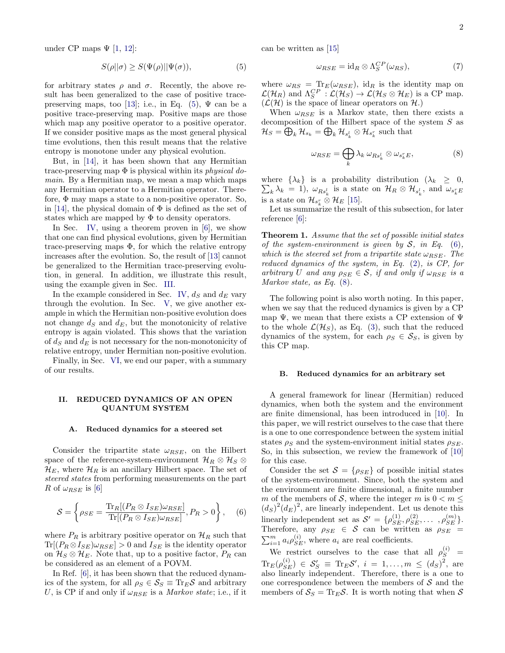under CP maps  $\Psi$  [\[1,](#page-6-0) [12\]](#page-7-4):

<span id="page-1-0"></span>
$$
S(\rho||\sigma) \ge S(\Psi(\rho)||\Psi(\sigma)),\tag{5}
$$

for arbitrary states  $\rho$  and  $\sigma$ . Recently, the above result has been generalized to the case of positive trace-preserving maps, too [\[13\]](#page-7-5); i.e., in Eq. [\(5\)](#page-1-0),  $\Psi$  can be a positive trace-preserving map. Positive maps are those which map any positive operator to a positive operator. If we consider positive maps as the most general physical time evolutions, then this result means that the relative entropy is monotone under any physical evolution.

But, in [\[14\]](#page-7-6), it has been shown that any Hermitian trace-preserving map  $\Phi$  is physical within its *physical do*main. By a Hermitian map, we mean a map which maps any Hermitian operator to a Hermitian operator. Therefore, Φ may maps a state to a non-positive operator. So, in [\[14\]](#page-7-6), the physical domain of  $\Phi$  is defined as the set of states which are mapped by  $\Phi$  to density operators.

In Sec. [IV,](#page-4-0) using a theorem proven in [\[6\]](#page-6-2), we show that one can find physical evolutions, given by Hermitian trace-preserving maps  $\Phi$ , for which the relative entropy increases after the evolution. So, the result of [\[13\]](#page-7-5) cannot be generalized to the Hermitian trace-preserving evolution, in general. In addition, we illustrate this result, using the example given in Sec. [III.](#page-2-0)

In the example considered in Sec. [IV,](#page-4-0)  $d_S$  and  $d_E$  vary through the evolution. In Sec. [V,](#page-5-0) we give another example in which the Hermitian non-positive evolution does not change  $d_S$  and  $d_E$ , but the monotonicity of relative entropy is again violated. This shows that the variation of  $d_S$  and  $d_E$  is not necessary for the non-monotonicity of relative entropy, under Hermitian non-positive evolution.

Finally, in Sec. [VI,](#page-6-4) we end our paper, with a summary of our results.

#### <span id="page-1-6"></span>II. REDUCED DYNAMICS OF AN OPEN QUANTUM SYSTEM

#### A. Reduced dynamics for a steered set

Consider the tripartite state  $\omega_{RSE}$ , on the Hilbert space of the reference-system-environment  $\mathcal{H}_R \otimes \mathcal{H}_S \otimes$  $\mathcal{H}_E$ , where  $\mathcal{H}_R$  is an ancillary Hilbert space. The set of steered states from performing measurements on the part R of  $\omega_{RSE}$  is [\[6\]](#page-6-2)

<span id="page-1-1"></span>
$$
S = \left\{\rho_{SE} = \frac{\text{Tr}_{R}[(P_{R} \otimes I_{SE})\omega_{RSE}]}{\text{Tr}[(P_{R} \otimes I_{SE})\omega_{RSE}]} , P_{R} > 0\right\},\quad(6)
$$

where  $P_R$  is arbitrary positive operator on  $\mathcal{H}_R$  such that  $Tr[(P_R \otimes I_{SE})\omega_{RSE}] > 0$  and  $I_{SE}$  is the identity operator on  $\mathcal{H}_S \otimes \mathcal{H}_E$ . Note that, up to a positive factor,  $P_R$  can be considered as an element of a POVM.

In Ref. [\[6\]](#page-6-2), it has been shown that the reduced dynamics of the system, for all  $\rho_S \in S_S \equiv \text{Tr}_E S$  and arbitrary U, is CP if and only if  $\omega_{RSE}$  is a *Markov state*; i.e., if it can be written as [\[15\]](#page-7-7)

<span id="page-1-3"></span>
$$
\omega_{RSE} = \mathrm{id}_R \otimes \Lambda_S^{CP}(\omega_{RS}),\tag{7}
$$

where  $\omega_{RS} = \text{Tr}_E(\omega_{RSE})$ , id<sub>R</sub> is the identity map on  $\mathcal{L}(\mathcal{H}_R)$  and  $\Lambda_S^{CP}$  :  $\mathcal{L}(\mathcal{H}_S) \to \mathcal{L}(\mathcal{H}_S \otimes \mathcal{H}_E)$  is a CP map.  $(\mathcal{L}(\mathcal{H})$  is the space of linear operators on  $\mathcal{H}$ .)

When  $\omega_{RSE}$  is a Markov state, then there exists a decomposition of the Hilbert space of the system  $S$  as  $\mathcal{H}_S = \bigoplus_k \mathcal{H}_{s_k} = \bigoplus_k \mathcal{H}_{s_k^l} \otimes \mathcal{H}_{s_k^r}$  such that

<span id="page-1-2"></span>
$$
\omega_{RSE} = \bigoplus_{k} \lambda_k \,\omega_{Rs_k^l} \otimes \omega_{s_k^r E},\tag{8}
$$

where  $\{\lambda_k\}$  is a probability distribution  $(\lambda_k \geq 0,$  $\sum_{k} \lambda_k = 1$ ),  $\omega_{Rs_k^l}$  is a state on  $\mathcal{H}_R \otimes \mathcal{H}_{s_k^l}$ , and  $\omega_{s_k^r} E$ is a state on  $\mathcal{H}_{s_k^r} \otimes \mathcal{H}_E$  [\[15\]](#page-7-7).

Let us summarize the result of this subsection, for later reference [\[6\]](#page-6-2):

<span id="page-1-4"></span>Theorem 1. Assume that the set of possible initial states of the system-environment is given by  $S$ , in Eq. [\(6\)](#page-1-1), which is the steered set from a tripartite state  $\omega_{RSE}$ . The reduced dynamics of the system, in Eq. [\(2\)](#page-0-3), is CP, for arbitrary U and any  $\rho_{SE} \in \mathcal{S}$ , if and only if  $\omega_{RSE}$  is a Markov state, as Eq. [\(8\)](#page-1-2).

The following point is also worth noting. In this paper, when we say that the reduced dynamics is given by a CP map  $\Psi$ , we mean that there exists a CP extension of  $\Psi$ to the whole  $\mathcal{L}(\mathcal{H}_S)$ , as Eq. [\(3\)](#page-0-4), such that the reduced dynamics of the system, for each  $\rho_S \in S_S$ , is given by this CP map.

#### <span id="page-1-5"></span>B. Reduced dynamics for an arbitrary set

A general framework for linear (Hermitian) reduced dynamics, when both the system and the environment are finite dimensional, has been introduced in [\[10\]](#page-7-2). In this paper, we will restrict ourselves to the case that there is a one to one correspondence between the system initial states  $\rho_S$  and the system-environment initial states  $\rho_{SE}$ . So, in this subsection, we review the framework of [\[10\]](#page-7-2) for this case.

Consider the set  $S = \{\rho_{SE}\}\$  of possible initial states of the system-environment. Since, both the system and the environment are finite dimensional, a finite number m of the members of S, where the integer m is  $0 < m \leq$  $(d_S)^2 (d_E)^2$ , are linearly independent. Let us denote this linearly independent set as  $S' = {\rho_{SE}^{(1)}, \rho_{SE}^{(2)}, \dots, \rho_{SE}^{(m)}}$ . Therefore, any  $\rho_{SE} \in S$  can be written as  $\rho_{SE}$  =  $\sum_{i=1}^{m} a_i \rho_{SE}^{(i)}$ , where  $a_i$  are real coefficients.

We restrict ourselves to the case that all  $\rho_S^{(i)}$  =  $\text{Tr}_E(\rho_{SE}^{(i)}) \in S_S' \equiv \text{Tr}_E S', i = 1, ..., m \le (d_S)^2$ , are also linearly independent. Therefore, there is a one to one correspondence between the members of  $S$  and the members of  $S_S = \text{Tr}_E \mathcal{S}$ . It is worth noting that when S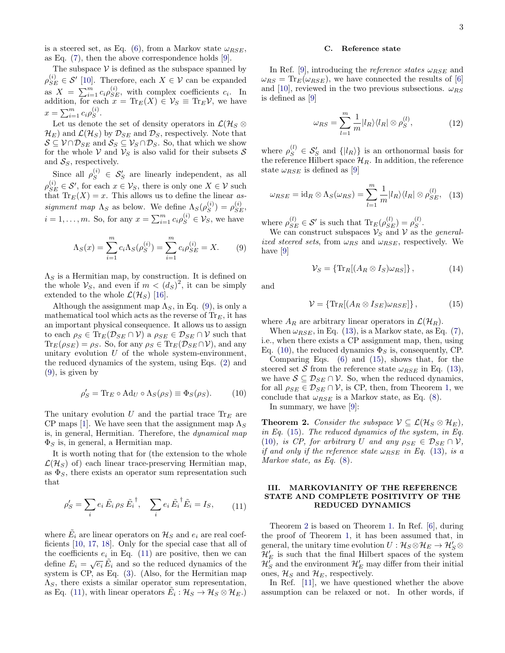is a steered set, as Eq. [\(6\)](#page-1-1), from a Markov state  $\omega_{RSE}$ , as Eq. [\(7\)](#page-1-3), then the above correspondence holds [\[9\]](#page-7-1).

The subspace  $V$  is defined as the subspace spanned by  $\rho_{SE}^{(i)} \in \mathcal{S}'$  [\[10\]](#page-7-2). Therefore, each  $X \in \mathcal{V}$  can be expanded as  $X = \sum_{i=1}^{m} c_i \rho_{SE}^{(i)}$ , with complex coefficients  $c_i$ . In addition, for each  $x = \text{Tr}_E(X) \in \mathcal{V}_S \equiv \text{Tr}_E \mathcal{V}$ , we have  $x = \sum_{i=1}^{m} c_i \rho_S^{(i)}$  $S^{(i)}$ .

Let us denote the set of density operators in  $\mathcal{L}(\mathcal{H}_S \otimes$  $\mathcal{H}_E$ ) and  $\mathcal{L}(\mathcal{H}_S)$  by  $\mathcal{D}_{SE}$  and  $\mathcal{D}_S$ , respectively. Note that  $S \subseteq V \cap \mathcal{D}_{SE}$  and  $S_S \subseteq V_S \cap \mathcal{D}_S$ . So, that which we show for the whole V and  $V_S$  is also valid for their subsets S and  $S_S$ , respectively.

Since all  $\rho_S^{(i)} \in S_S'$  are linearly independent, as all  $\rho_{SE}^{(i)} \in \mathcal{S}'$ , for each  $x \in \mathcal{V}_S$ , there is only one  $X \in \mathcal{V}$  such that  $\text{Tr}_E(X) = x$ . This allows us to define the linear assignment map  $\Lambda_S$  as below. We define  $\Lambda_S(\rho_S^{(i)})$  $\binom{(i)}{S} = \rho_{SE}^{(i)},$  $i = 1, \ldots, m$ . So, for any  $x = \sum_{i=1}^{m} c_i \rho_S^{(i)} \in \mathcal{V}_S$ , we have

<span id="page-2-1"></span>
$$
\Lambda_S(x) = \sum_{i=1}^m c_i \Lambda_S(\rho_S^{(i)}) = \sum_{i=1}^m c_i \rho_{SE}^{(i)} = X.
$$
 (9)

 $\Lambda_S$  is a Hermitian map, by construction. It is defined on the whole  $\mathcal{V}_S$ , and even if  $m < (d_S)^2$ , it can be simply extended to the whole  $\mathcal{L}(\mathcal{H}_S)$  [\[16\]](#page-7-8).

Although the assignment map  $\Lambda_S$ , in Eq. [\(9\)](#page-2-1), is only a mathematical tool which acts as the reverse of  $\text{Tr}_E$ , it has an important physical consequence. It allows us to assign to each  $\rho_S \in \text{Tr}_E(\mathcal{D}_{SE} \cap \mathcal{V})$  a  $\rho_{SE} \in \mathcal{D}_{SE} \cap \mathcal{V}$  such that  $\text{Tr}_E(\rho_{SE}) = \rho_S$ . So, for any  $\rho_S \in \text{Tr}_E(\mathcal{D}_{SE} \cap \mathcal{V})$ , and any unitary evolution  $U$  of the whole system-environment, the reduced dynamics of the system, using Eqs. [\(2\)](#page-0-3) and  $(9)$ , is given by

<span id="page-2-4"></span>
$$
\rho'_{S} = \text{Tr}_{E} \circ \text{Ad}_{U} \circ \Lambda_{S}(\rho_{S}) \equiv \Phi_{S}(\rho_{S}). \tag{10}
$$

The unitary evolution U and the partial trace  $\text{Tr}_E$  are CP maps [\[1\]](#page-6-0). We have seen that the assignment map  $\Lambda_S$ is, in general, Hermitian. Therefore, the dynamical map  $\Phi_S$  is, in general, a Hermitian map.

It is worth noting that for (the extension to the whole  $\mathcal{L}(\mathcal{H}_S)$  of) each linear trace-preserving Hermitian map, as  $\Phi_S$ , there exists an operator sum representation such that

<span id="page-2-2"></span>
$$
\rho_S' = \sum_i e_i \tilde{E}_i \rho_S \tilde{E}_i^{\dagger}, \quad \sum_i e_i \tilde{E}_i^{\dagger} \tilde{E}_i = I_S, \qquad (11)
$$

where  $\tilde{E_i}$  are linear operators on  $\mathcal{H}_S$  and  $e_i$  are real coefficients [\[10,](#page-7-2) [17,](#page-7-9) [18\]](#page-7-10). Only for the special case that all of the coefficients  $e_i$  in Eq. [\(11\)](#page-2-2) are positive, then we can define  $E_i = \sqrt{\epsilon_i} \tilde{E}_i$  and so the reduced dynamics of the system is CP, as Eq. [\(3\)](#page-0-4). (Also, for the Hermitian map  $\Lambda_S$ , there exists a similar operator sum representation, as Eq. [\(11\)](#page-2-2), with linear operators  $\tilde{E}_i : \mathcal{H}_S \to \mathcal{H}_S \otimes \mathcal{H}_E$ .)

#### C. Reference state

In Ref. [\[9\]](#page-7-1), introducing the *reference states*  $\omega_{RSE}$  and  $\omega_{RS} = \text{Tr}_E(\omega_{RSE})$ , we have connected the results of [\[6\]](#page-6-2) and [\[10\]](#page-7-2), reviewed in the two previous subsections.  $\omega_{RS}$ is defined as [\[9\]](#page-7-1)

<span id="page-2-7"></span>
$$
\omega_{RS} = \sum_{l=1}^{m} \frac{1}{m} |l_R\rangle \langle l_R| \otimes \rho_S^{(l)},\tag{12}
$$

where  $\rho_S^{(l)} \in \mathcal{S}'_S$  and  $\{|l_R\rangle\}$  is an orthonormal basis for the reference Hilbert space  $\mathcal{H}_R$ . In addition, the reference state  $\omega_{RSE}$  is defined as [\[9\]](#page-7-1)

<span id="page-2-3"></span>
$$
\omega_{RSE} = \mathrm{id}_R \otimes \Lambda_S(\omega_{RS}) = \sum_{l=1}^m \frac{1}{m} |l_R\rangle\langle l_R| \otimes \rho_{SE}^{(l)}, \quad (13)
$$

where  $\rho_{SE}^{(l)} \in \mathcal{S}'$  is such that  $\text{Tr}_E(\rho_{SE}^{(l)}) = \rho_{S}^{(l)}$  $S^{\prime}$ .

We can construct subspaces  $\mathcal{V}_S$  and  $\mathcal{V}$  as the *general*ized steered sets, from  $\omega_{RS}$  and  $\omega_{RSE}$ , respectively. We have [\[9\]](#page-7-1)

$$
\mathcal{V}_S = \{ \text{Tr}_R[(A_R \otimes I_S)\omega_{RS}] \},\tag{14}
$$

and

<span id="page-2-5"></span>
$$
\mathcal{V} = \{ \text{Tr}_R[(A_R \otimes I_{SE})\omega_{RSE}] \},\tag{15}
$$

where  $A_R$  are arbitrary linear operators in  $\mathcal{L}(\mathcal{H}_R)$ .

When  $\omega_{RSE}$ , in Eq. [\(13\)](#page-2-3), is a Markov state, as Eq. [\(7\)](#page-1-3), i.e., when there exists a CP assignment map, then, using Eq. [\(10\)](#page-2-4), the reduced dynamics  $\Phi_S$  is, consequently, CP.

Comparing Eqs. [\(6\)](#page-1-1) and [\(15\)](#page-2-5), shows that, for the steered set S from the reference state  $\omega_{RSE}$  in Eq. [\(13\)](#page-2-3), we have  $S \subseteq \mathcal{D}_{SE} \cap \mathcal{V}$ . So, when the reduced dynamics, for all  $\rho_{SE} \in \mathcal{D}_{SE} \cap \mathcal{V}$ , is CP, then, from Theorem [1,](#page-1-4) we conclude that  $\omega_{RSE}$  is a Markov state, as Eq. [\(8\)](#page-1-2).

In summary, we have [\[9\]](#page-7-1):

<span id="page-2-6"></span>**Theorem 2.** Consider the subspace  $V \subseteq \mathcal{L}(\mathcal{H}_S \otimes \mathcal{H}_E)$ , in Eq. [\(15\)](#page-2-5). The reduced dynamics of the system, in Eq. [\(10\)](#page-2-4), is CP, for arbitrary U and any  $\rho_{SE} \in \mathcal{D}_{SE} \cap \mathcal{V}$ , if and only if the reference state  $\omega_{RSE}$  in Eq. [\(13\)](#page-2-3), is a Markov state, as Eq. [\(8\)](#page-1-2).

## <span id="page-2-0"></span>III. MARKOVIANITY OF THE REFERENCE STATE AND COMPLETE POSITIVITY OF THE REDUCED DYNAMICS

Theorem [2](#page-2-6) is based on Theorem [1.](#page-1-4) In Ref. [\[6\]](#page-6-2), during the proof of Theorem [1,](#page-1-4) it has been assumed that, in general, the unitary time evolution  $U: \mathcal{H}_S \otimes \mathcal{H}_E \to \mathcal{H}'_S \otimes$  $\mathcal{H}'_E$  is such that the final Hilbert spaces of the system  $\mathcal{H}_S^{\overline{\prime}}$  and the environment  $\mathcal{H}'_E$  may differ from their initial ones,  $\mathcal{H}_S$  and  $\mathcal{H}_E$ , respectively.

In Ref. [\[11\]](#page-7-3), we have questioned whether the above assumption can be relaxed or not. In other words, if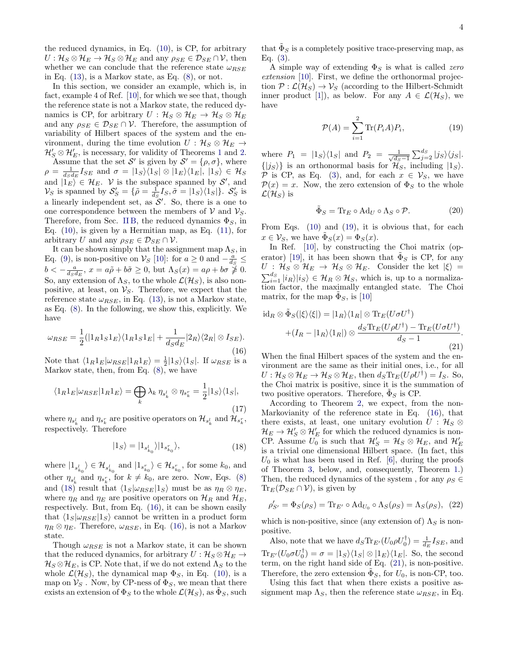the reduced dynamics, in Eq. [\(10\)](#page-2-4), is CP, for arbitrary  $U: \mathcal{H}_S \otimes \mathcal{H}_E \to \mathcal{H}_S \otimes \mathcal{H}_E$  and any  $\rho_{SE} \in \mathcal{D}_{SE} \cap \mathcal{V}$ , then whether we can conclude that the reference state  $\omega_{RSE}$ in Eq.  $(13)$ , is a Markov state, as Eq.  $(8)$ , or not.

In this section, we consider an example, which is, in fact, example 4 of Ref. [\[10\]](#page-7-2), for which we see that, though the reference state is not a Markov state, the reduced dynamics is CP, for arbitrary  $U : \mathcal{H}_S \otimes \mathcal{H}_E \to \mathcal{H}_S \otimes \mathcal{H}_E$ and any  $\rho_{SE} \in \mathcal{D}_{SE} \cap \mathcal{V}$ . Therefore, the assumption of variability of Hilbert spaces of the system and the environment, during the time evolution  $U : \mathcal{H}_S \otimes \mathcal{H}_E \rightarrow$  $\mathcal{H}'_S \otimes \mathcal{H}'_E$ , is necessary, for validity of Theorems [1](#page-1-4) and [2.](#page-2-6) Assume that the set S' is given by  $\mathcal{S}' = {\rho, \sigma}$ , where  $\rho = \frac{1}{dsds} I_{SE}$  and  $\sigma = |1_S\rangle\langle 1_S| \otimes |1_E\rangle\langle 1_E|, |1_S\rangle \in \mathcal{H}_S$ and  $|1_E\rangle \in \mathcal{H}_E$ . V is the subspace spanned by S', and  $\mathcal{V}_S$  is spanned by  $\mathcal{S}'_S = \{ \tilde{\rho} = \frac{1}{d_S} I_S, \tilde{\sigma} = |1_S\rangle\langle 1_S| \}.$   $\mathcal{S}'_S$  is a linearly independent set, as  $\mathcal{S}'$ . So, there is a one to one correspondence between the members of  $V$  and  $V_s$ . Therefore, from Sec. [II B,](#page-1-5) the reduced dynamics  $\Phi_S$ , in Eq.  $(10)$ , is given by a Hermitian map, as Eq.  $(11)$ , for

arbitrary U and any  $\rho_{SE} \in \mathcal{D}_{SE} \cap \mathcal{V}$ . It can be shown simply that the assignment map  $\Lambda_S$ , in Eq. [\(9\)](#page-2-1), is non-positive on  $\mathcal{V}_S$  [\[10\]](#page-7-2): for  $a \ge 0$  and  $-\frac{a}{d_S} \le$  $b < -\frac{a}{d_S d_E}$ ,  $x = a\tilde{\rho} + b\tilde{\sigma} \ge 0$ , but  $\Lambda_S(x) = a\rho + b\sigma \ge 0$ . So, any extension of  $\Lambda_S$ , to the whole  $\mathcal{L}(\mathcal{H}_S)$ , is also nonpositive, at least, on  $\mathcal{V}_S$ . Therefore, we expect that the reference state  $\omega_{RSE}$ , in Eq. [\(13\)](#page-2-3), is not a Markov state, as Eq. [\(8\)](#page-1-2). In the following, we show this, explicitly. We have

<span id="page-3-1"></span>
$$
\omega_{RSE} = \frac{1}{2} (|1_R 1_S 1_E\rangle \langle 1_R 1_S 1_E| + \frac{1}{d_S d_E} |2_R\rangle \langle 2_R| \otimes I_{SE}).
$$
\n(16)

Note that  $\langle 1_R 1_E | \omega_{RSE} | 1_R 1_E \rangle = \frac{1}{2} | 1_S \rangle \langle 1_S |$ . If  $\omega_{RSE}$  is a Markov state, then, from Eq. [\(8\)](#page-1-2), we have

$$
\langle 1_R 1_E | \omega_{RSE} | 1_R 1_E \rangle = \bigoplus_k \lambda_k \, \eta_{s_k^t} \otimes \eta_{s_k^r} = \frac{1}{2} | 1_S \rangle \langle 1_S |, \tag{17}
$$

where  $\eta_{s_k^l}$  and  $\eta_{s_k^r}$  are positive operators on  $\mathcal{H}_{s_k^l}$  and  $\mathcal{H}_{s_k^r}$ , respectively. Therefore

<span id="page-3-0"></span>
$$
|1_{S}\rangle = |1_{s_{k_0}^l}\rangle |1_{s_{k_0}^r}\rangle, \tag{18}
$$

where  $|1_{s_{k_0}^l}\rangle \in \mathcal{H}_{s_{k_0}^l}$  and  $|1_{s_{k_0}^r}\rangle \in \mathcal{H}_{s_{k_0}^r}$ , for some  $k_0$ , and other  $\eta_{s_k^l}$  and  $\eta_{s_k^r}$ , for  $k \neq k_0$ , are zero. Now, Eqs. [\(8\)](#page-1-2) and [\(18\)](#page-3-0) result that  $\langle 1_S|\omega_{RSE}|1_S \rangle$  must be as  $\eta_R \otimes \eta_E$ , where  $\eta_R$  and  $\eta_E$  are positive operators on  $\mathcal{H}_R$  and  $\mathcal{H}_E$ , respectively. But, from Eq. [\(16\)](#page-3-1), it can be shown easily that  $\langle 1_S | \omega_{RSE} | 1_S \rangle$  cannot be written in a product form  $\eta_R \otimes \eta_E$ . Therefore,  $\omega_{RSE}$ , in Eq. [\(16\)](#page-3-1), is not a Markov state.

Though  $\omega_{RSE}$  is not a Markov state, it can be shown that the reduced dynamics, for arbitrary  $U: \mathcal{H}_S \otimes \mathcal{H}_E \rightarrow$  $\mathcal{H}_S \otimes \mathcal{H}_E$ , is CP. Note that, if we do not extend  $\Lambda_S$  to the whole  $\mathcal{L}(\mathcal{H}_S)$ , the dynamical map  $\Phi_S$ , in Eq. [\(10\)](#page-2-4), is a map on  $\mathcal{V}_S$ . Now, by CP-ness of  $\Phi_S$ , we mean that there exists an extension of  $\Phi_S$  to the whole  $\mathcal{L}(\mathcal{H}_S)$ , as  $\tilde{\Phi}_S$ , such

that  $\tilde{\Phi}_S$  is a completely positive trace-preserving map, as Eq.  $(3)$ .

A simple way of extending  $\Phi_S$  is what is called zero extension [\[10\]](#page-7-2). First, we define the orthonormal projection  $\mathcal{P} : \mathcal{L}(\mathcal{H}_S) \to \mathcal{V}_S$  (according to the Hilbert-Schmidt inner product [\[1\]](#page-6-0)), as below. For any  $A \in \mathcal{L}(\mathcal{H}_S)$ , we have

<span id="page-3-2"></span>
$$
\mathcal{P}(A) = \sum_{i=1}^{2} \text{Tr}(P_i A) P_i, \qquad (19)
$$

where  $P_1 = |1_S\rangle\langle 1_S|$  and  $P_2 = \frac{1}{\sqrt{ds}}$  $\frac{1}{d_S-1}\sum_{j=2}^{d_S}|j_S\rangle\langle j_S|.$  $\{|j_S\rangle\}$  is an orthonormal basis for  $\mathcal{H}_S$ , including  $|1_S\rangle$ . P is CP, as Eq. [\(3\)](#page-0-4), and, for each  $x \in V_S$ , we have  $\mathcal{P}(x) = x$ . Now, the zero extension of  $\Phi_S$  to the whole  $\mathcal{L}(\mathcal{H}_S)$  is

$$
\tilde{\Phi}_S = \text{Tr}_E \circ \text{Ad}_U \circ \Lambda_S \circ \mathcal{P}.\tag{20}
$$

From Eqs. [\(10\)](#page-2-4) and [\(19\)](#page-3-2), it is obvious that, for each  $x \in \mathcal{V}_S$ , we have  $\tilde{\Phi}_S(x) = \Phi_S(x)$ .

In Ref. [\[10\]](#page-7-2), by constructing the Choi matrix (op-erator) [\[19\]](#page-7-11), it has been shown that  $\tilde{\Phi}_S$  is CP, for any  $U : H_S \otimes H_E \to H_S \otimes H_E$ . Consider the ket  $|\xi\rangle =$  $\sum_{i=1}^{d_S} |i_R\rangle |i_S\rangle \in \mathcal{H}_R \otimes \mathcal{H}_S$ , which is, up to a normalization factor, the maximally entangled state. The Choi matrix, for the map  $\tilde{\Phi}_S$ , is [\[10\]](#page-7-2)

<span id="page-3-3"></span>
$$
\mathrm{id}_{R} \otimes \tilde{\Phi}_{S}(|\xi\rangle\langle\xi|) = |1_{R}\rangle\langle1_{R}|\otimes \mathrm{Tr}_{E}(U\sigma U^{\dagger})
$$

$$
+ (I_{R} - |1_{R}\rangle\langle1_{R}|) \otimes \frac{d_{S}\mathrm{Tr}_{E}(U\rho U^{\dagger}) - \mathrm{Tr}_{E}(U\sigma U^{\dagger})}{d_{S} - 1}.
$$
(21)

When the final Hilbert spaces of the system and the environment are the same as their initial ones, i.e., for all  $U: \mathcal{H}_S \otimes \mathcal{H}_E \to \mathcal{H}_S \otimes \mathcal{H}_E$ , then  $d_S \text{Tr}_E(U \rho U^{\dagger}) = I_S$ . So, the Choi matrix is positive, since it is the summation of two positive operators. Therefore,  $\tilde{\Phi}_S$  is CP.

According to Theorem [2,](#page-2-6) we expect, from the non-Markovianity of the reference state in Eq. [\(16\)](#page-3-1), that there exists, at least, one unitary evolution  $U: \mathcal{H}_S \otimes$  $\mathcal{H}_E \to \mathcal{H}'_S \otimes \mathcal{H}'_E$  for which the reduced dynamics is non-CP. Assume  $\tilde{U_0}$  is such that  $\mathcal{H}'_S = \mathcal{H}_S \otimes \mathcal{H}_E$ , and  $\mathcal{H}'_E$ is a trivial one dimensional Hilbert space. (In fact, this  $U_0$  is what has been used in Ref. [\[6\]](#page-6-2), during the proofs of Theorem [3,](#page-4-1) below, and, consequently, Theorem [1.](#page-1-4)) Then, the reduced dynamics of the system, for any  $\rho_S \in$  $\text{Tr}_E(\mathcal{D}_{SE} \cap \mathcal{V})$ , is given by

<span id="page-3-4"></span>
$$
\rho'_{S'} = \Phi_S(\rho_S) = \text{Tr}_{E'} \circ \text{Ad}_{U_0} \circ \Lambda_S(\rho_S) = \Lambda_S(\rho_S), \tag{22}
$$

which is non-positive, since (any extension of)  $\Lambda_S$  is nonpositive.

Also, note that we have  $d_S \text{Tr}_{E'}(U_0 \rho U_0^{\dagger}) = \frac{1}{d_E} I_{SE}$ , and  $\text{Tr}_{E'}(U_0 \sigma U_0^{\dagger}) = \sigma = |1_S\rangle\langle 1_S| \otimes |1_E\rangle\langle 1_E|$ . So, the second term, on the right hand side of Eq. [\(21\)](#page-3-3), is non-positive. Therefore, the zero extension  $\tilde{\Phi}_S$ , for  $U_0$ , is non-CP, too.

Using this fact that when there exists a positive assignment map  $\Lambda_S$ , then the reference state  $\omega_{RSE}$ , in Eq.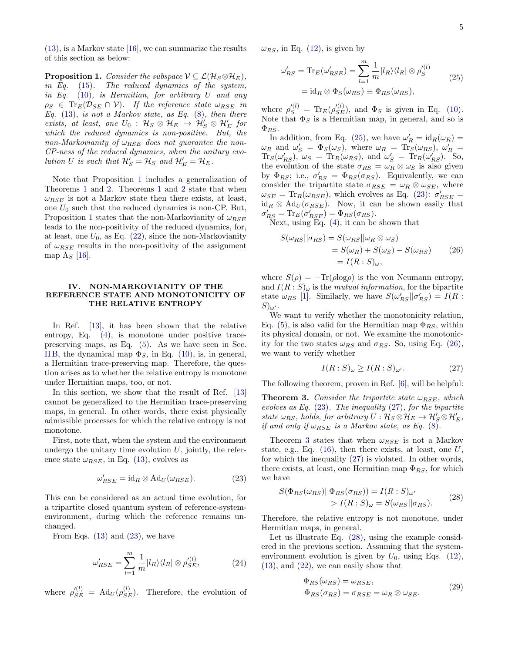[\(13\)](#page-2-3), is a Markov state [\[16\]](#page-7-8), we can summarize the results of this section as below:

<span id="page-4-2"></span>**Proposition 1.** Consider the subspace  $V \subseteq \mathcal{L}(\mathcal{H}_S \otimes \mathcal{H}_E)$ , in Eq. [\(15\)](#page-2-5). The reduced dynamics of the system, in Eq.  $(10)$ , is Hermitian, for arbitrary U and any  $\rho_S \in \text{Tr}_E(\mathcal{D}_{SE} \cap \mathcal{V})$ . If the reference state  $\omega_{RSE}$  in Eq.  $(13)$ , is not a Markov state, as Eq.  $(8)$ , then there exists, at least, one  $U_0$ :  $\mathcal{H}_S \otimes \mathcal{H}_E \rightarrow \mathcal{H}'_S \otimes \mathcal{H}'_E$  for which the reduced dynamics is non-positive. But, the non-Markovianity of  $\omega_{BSE}$  does not guarantee the non-CP-ness of the reduced dynamics, when the unitary evolution U is such that  $\mathcal{H}'_S = \mathcal{H}_S$  and  $\mathcal{H}'_E = \mathcal{H}_E$ .

Note that Proposition [1](#page-4-2) includes a generalization of Theorems [1](#page-1-4) and [2.](#page-2-6) Theorems [1](#page-1-4) and [2](#page-2-6) state that when  $\omega_{BSE}$  is not a Markov state then there exists, at least, one  $U_0$  such that the reduced dynamics is non-CP. But, Proposition [1](#page-4-2) states that the non-Markovianity of  $\omega_{RSE}$ leads to the non-positivity of the reduced dynamics, for, at least, one  $U_0$ , as Eq. [\(22\)](#page-3-4), since the non-Markovianity of  $\omega_{RSE}$  results in the non-positivity of the assignment map  $\Lambda_S$  [\[16\]](#page-7-8).

#### <span id="page-4-0"></span>IV. NON-MARKOVIANITY OF THE REFERENCE STATE AND MONOTONICITY OF THE RELATIVE ENTROPY

In Ref. [\[13\]](#page-7-5), it has been shown that the relative entropy, Eq.  $(4)$ , is monotone under positive tracepreserving maps, as Eq. [\(5\)](#page-1-0). As we have seen in Sec. [II B,](#page-1-5) the dynamical map  $\Phi_S$ , in Eq. [\(10\)](#page-2-4), is, in general, a Hermitian trace-preserving map. Therefore, the question arises as to whether the relative entropy is monotone under Hermitian maps, too, or not.

In this section, we show that the result of Ref. [\[13\]](#page-7-5) cannot be generalized to the Hermitian trace-preserving maps, in general. In other words, there exist physically admissible processes for which the relative entropy is not monotone.

First, note that, when the system and the environment undergo the unitary time evolution  $U$ , jointly, the reference state  $\omega_{RSE}$ , in Eq. [\(13\)](#page-2-3), evolves as

<span id="page-4-3"></span>
$$
\omega'_{RSE} = id_R \otimes Ad_U(\omega_{RSE}). \tag{23}
$$

This can be considered as an actual time evolution, for a tripartite closed quantum system of reference-systemenvironment, during which the reference remains unchanged.

From Eqs.  $(13)$  and  $(23)$ , we have

$$
\omega'_{RSE} = \sum_{l=1}^{m} \frac{1}{m} |l_R\rangle \langle l_R| \otimes \rho'^{(l)}_{SE},\tag{24}
$$

where  $\rho_{SE}^{\prime (l)} = \text{Ad}_U(\rho_{SE}^{(l)})$ . Therefore, the evolution of

 $\omega_{RS}$ , in Eq. [\(12\)](#page-2-7), is given by

<span id="page-4-4"></span>
$$
\omega'_{RS} = \text{Tr}_E(\omega'_{RSE}) = \sum_{l=1}^m \frac{1}{m} |l_R\rangle\langle l_R| \otimes \rho'^{(l)}_S
$$
  
= id<sub>R</sub>  $\otimes \Phi_S(\omega_{RS}) \equiv \Phi_{RS}(\omega_{RS}),$  (25)

where  $\rho_S^{\prime (l)} = \text{Tr}_E(\rho_{SE}^{\prime (l)})$ , and  $\Phi_S$  is given in Eq. [\(10\)](#page-2-4). Note that  $\Phi_S$  is a Hermitian map, in general, and so is  $\Phi_{RS}.$ 

In addition, from Eq. [\(25\)](#page-4-4), we have  $\omega'_R = id_R(\omega_R) =$  $\omega_R$  and  $\omega'_S = \Phi_S(\omega_S)$ , where  $\omega_R = \text{Tr}_S(\omega_{RS})$ ,  $\omega'_R =$  $\text{Tr}_S(\omega'_{RS})$ ,  $\omega_S = \text{Tr}_R(\omega_{RS})$ , and  $\omega'_{S} = \text{Tr}_R(\omega'_{RS})$ . So, the evolution of the state  $\sigma_{RS} = \omega_R \otimes \omega_S$  is also given by  $\Phi_{RS}$ ; i.e.,  $\sigma'_{RS} = \Phi_{RS}(\sigma_{RS})$ . Equivalently, we can consider the tripartite state  $\sigma_{RSE} = \omega_R \otimes \omega_{SE}$ , where  $\omega_{SE} = \text{Tr}_R(\omega_{RSE})$ , which evolves as Eq. [\(23\)](#page-4-3):  $\sigma'_{RSE} =$  $id_R \otimes Ad_U(\sigma_{RSE})$ . Now, it can be shown easily that  $\sigma'_{RS} = \text{Tr}_E(\sigma'_{RSE}) = \Phi_{RS}(\sigma_{RS}).$ 

Next, using Eq. [\(4\)](#page-0-5), it can be shown that

<span id="page-4-5"></span>
$$
S(\omega_{RS}||\sigma_{RS}) = S(\omega_{RS}||\omega_R \otimes \omega_S)
$$
  
=  $S(\omega_R) + S(\omega_S) - S(\omega_{RS})$  (26)  
=  $I(R: S)_{\omega}$ ,

where  $S(\rho) = -\text{Tr}(\rho \log \rho)$  is the von Neumann entropy, and  $I(R: S)_{\omega}$  is the *mutual information*, for the bipartite state  $\omega_{RS}$  [\[1\]](#page-6-0). Similarly, we have  $S(\omega'_{RS}||\sigma'_{RS}) = I(R$ :  $S)_{\omega'}$ .

We want to verify whether the monotonicity relation, Eq. [\(5\)](#page-1-0), is also valid for the Hermitian map  $\Phi_{RS}$ , within its physical domain, or not. We examine the monotonicity for the two states  $\omega_{RS}$  and  $\sigma_{RS}$ . So, using Eq. [\(26\)](#page-4-5), we want to verify whether

<span id="page-4-6"></span>
$$
I(R:S)_{\omega} \ge I(R:S)_{\omega'}.\tag{27}
$$

The following theorem, proven in Ref. [\[6\]](#page-6-2), will be helpful:

<span id="page-4-1"></span>**Theorem 3.** Consider the tripartite state  $\omega_{BSE}$ , which evolves as Eq.  $(23)$ . The inequality  $(27)$ , for the bipartite state  $\omega_{RS}$ , holds, for arbitrary  $U: \mathcal{H}_S \otimes \mathcal{H}_E \rightarrow \mathcal{H}'_S \otimes \mathcal{H}'_E$ , if and only if  $\omega_{RSE}$  is a Markov state, as Eq. [\(8\)](#page-1-2).

Theorem [3](#page-4-1) states that when  $\omega_{RSE}$  is not a Markov state, e.g., Eq.  $(16)$ , then there exists, at least, one U, for which the inequality [\(27\)](#page-4-6) is violated. In other words, there exists, at least, one Hermitian map  $\Phi_{RS}$ , for which we have

<span id="page-4-7"></span>
$$
S(\Phi_{RS}(\omega_{RS})||\Phi_{RS}(\sigma_{RS})) = I(R:S)\omega'
$$
  
> 
$$
I(R:S)\omega = S(\omega_{RS}||\sigma_{RS}).
$$
 (28)

Therefore, the relative entropy is not monotone, under Hermitian maps, in general.

Let us illustrate Eq. [\(28\)](#page-4-7), using the example considered in the previous section. Assuming that the systemenvironment evolution is given by  $U_0$ , using Eqs. [\(12\)](#page-2-7), [\(13\)](#page-2-3), and [\(22\)](#page-3-4), we can easily show that

$$
\Phi_{RS}(\omega_{RS}) = \omega_{RSE},
$$
  
\n
$$
\Phi_{RS}(\sigma_{RS}) = \sigma_{RSE} = \omega_R \otimes \omega_{SE}.
$$
\n(29)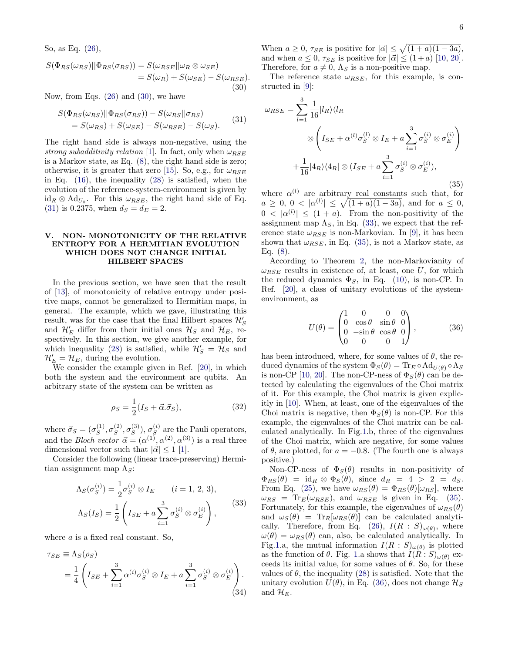So, as Eq. [\(26\)](#page-4-5),

<span id="page-5-1"></span>
$$
S(\Phi_{RS}(\omega_{RS})||\Phi_{RS}(\sigma_{RS})) = S(\omega_{RSE}||\omega_R \otimes \omega_{SE})
$$
  
=  $S(\omega_R) + S(\omega_{SE}) - S(\omega_{RSE}).$   
(30)

Now, from Eqs.  $(26)$  and  $(30)$ , we have

<span id="page-5-2"></span>
$$
S(\Phi_{RS}(\omega_{RS})||\Phi_{RS}(\sigma_{RS})) - S(\omega_{RS}||\sigma_{RS})
$$
  
=  $S(\omega_{RS}) + S(\omega_{SE}) - S(\omega_{RSE}) - S(\omega_S).$  (31)

The right hand side is always non-negative, using the strong subadditivity relation [\[1\]](#page-6-0). In fact, only when  $\omega_{RSE}$ is a Markov state, as Eq. [\(8\)](#page-1-2), the right hand side is zero; otherwise, it is greater that zero [\[15\]](#page-7-7). So, e.g., for  $\omega_{RSE}$ in Eq.  $(16)$ , the inequality  $(28)$  is satisfied, when the evolution of the reference-system-environment is given by  $\mathrm{id}_R \otimes \mathrm{Ad}_{U_0}$ . For this  $\omega_{RSE}$ , the right hand side of Eq. [\(31\)](#page-5-2) is 0.2375, when  $d_S = d_E = 2$ .

## <span id="page-5-0"></span>V. NON- MONOTONICITY OF THE RELATIVE ENTROPY FOR A HERMITIAN EVOLUTION WHICH DOES NOT CHANGE INITIAL HILBERT SPACES

In the previous section, we have seen that the result of [\[13\]](#page-7-5), of monotonicity of relative entropy under positive maps, cannot be generalized to Hermitian maps, in general. The example, which we gave, illustrating this result, was for the case that the final Hilbert spaces  $\mathcal{H}'_S$ and  $\mathcal{H}'_E$  differ from their initial ones  $\mathcal{H}_S$  and  $\mathcal{H}_E$ , respectively. In this section, we give another example, for which inequality [\(28\)](#page-4-7) is satisfied, while  $\mathcal{H}'_S = \mathcal{H}_S$  and  $\mathcal{H}'_E = \mathcal{H}_E$ , during the evolution.

We consider the example given in Ref. [\[20\]](#page-7-12), in which both the system and the environment are qubits. An arbitrary state of the system can be written as

$$
\rho_S = \frac{1}{2}(I_S + \vec{\alpha}.\vec{\sigma}_S),\tag{32}
$$

where  $\vec{\sigma}_S = (\sigma_S^{(1)})$  $_S^{(1)}, \sigma_S^{(2)}$  $S^{(2)}, \sigma_S^{(3)}$  $_{S}^{(3)}),\,\sigma_{S}^{(i)}$  $S<sup>(i)</sup>$  are the Pauli operators, and the *Bloch vector*  $\vec{\alpha} = (\alpha^{(1)}, \alpha^{(2)}, \alpha^{(3)})$  is a real three dimensional vector such that  $|\vec{\alpha}| \leq 1$  [\[1\]](#page-6-0).

Consider the following (linear trace-preserving) Hermitian assignment map  $\Lambda_S$ :

<span id="page-5-3"></span>
$$
\Lambda_S(\sigma_S^{(i)}) = \frac{1}{2}\sigma_S^{(i)} \otimes I_E \qquad (i = 1, 2, 3),
$$
  

$$
\Lambda_S(I_S) = \frac{1}{2}\left(I_{SE} + a\sum_{i=1}^3 \sigma_S^{(i)} \otimes \sigma_E^{(i)}\right),
$$
 (33)

where a is a fixed real constant. So,

$$
\tau_{SE} \equiv \Lambda_S(\rho_S)
$$
  
=  $\frac{1}{4} \left( I_{SE} + \sum_{i=1}^3 \alpha^{(i)} \sigma_S^{(i)} \otimes I_E + a \sum_{i=1}^3 \sigma_S^{(i)} \otimes \sigma_E^{(i)} \right).$  (34)

When  $a \geq 0$ ,  $\tau_{SE}$  is positive for  $|\vec{\alpha}| \leq \sqrt{(1+a)(1-3a)}$ , and when  $a \leq 0$ ,  $\tau_{SE}$  is positive for  $|\vec{\alpha}| \leq (1+a)$  [\[10,](#page-7-2) [20\]](#page-7-12). Therefore, for  $a \neq 0$ ,  $\Lambda_S$  is a non-positive map.

The reference state  $\omega_{RSE}$ , for this example, is constructed in [\[9\]](#page-7-1):

<span id="page-5-4"></span>
$$
\omega_{RSE} = \sum_{l=1}^{3} \frac{1}{16} |l_R\rangle\langle l_R|
$$
  

$$
\otimes \left(I_{SE} + \alpha^{(l)}\sigma_S^{(l)} \otimes I_E + a \sum_{i=1}^{3} \sigma_S^{(i)} \otimes \sigma_E^{(i)}\right)
$$
  

$$
+ \frac{1}{16} |4_R\rangle\langle 4_R| \otimes (I_{SE} + a \sum_{i=1}^{3} \sigma_S^{(i)} \otimes \sigma_E^{(i)}), \tag{35}
$$

where  $\alpha^{(l)}$  are arbitrary real constants such that, for  $a \geq 0, 0 < |\alpha^{(l)}| \leq \sqrt{(1+a)(1-3a)},$  and for  $a \leq 0$ ,  $0 < |\alpha^{(l)}| \leq (1 + a)$ . From the non-positivity of the assignment map  $\Lambda_S$ , in Eq. [\(33\)](#page-5-3), we expect that the reference state  $\omega_{RSE}$  is non-Markovian. In [\[9\]](#page-7-1), it has been shown that  $\omega_{RSE}$ , in Eq. [\(35\)](#page-5-4), is not a Markov state, as Eq. [\(8\)](#page-1-2).

According to Theorem [2,](#page-2-6) the non-Markovianity of  $\omega_{RSE}$  results in existence of, at least, one U, for which the reduced dynamics  $\Phi_S$ , in Eq. [\(10\)](#page-2-4), is non-CP. In Ref. [\[20\]](#page-7-12), a class of unitary evolutions of the systemenvironment, as

<span id="page-5-5"></span>
$$
U(\theta) = \begin{pmatrix} 1 & 0 & 0 & 0 \\ 0 & \cos \theta & \sin \theta & 0 \\ 0 & -\sin \theta & \cos \theta & 0 \\ 0 & 0 & 0 & 1 \end{pmatrix},
$$
 (36)

has been introduced, where, for some values of  $\theta$ , the reduced dynamics of the system  $\Phi_S(\theta) = \text{Tr}_E \circ \text{Ad}_{U(\theta)} \circ \Lambda_S$ is non-CP [\[10,](#page-7-2) [20\]](#page-7-12). The non-CP-ness of  $\Phi_S(\theta)$  can be detected by calculating the eigenvalues of the Choi matrix of it. For this example, the Choi matrix is given explicitly in [\[10\]](#page-7-2). When, at least, one of the eigenvalues of the Choi matrix is negative, then  $\Phi_S(\theta)$  is non-CP. For this example, the eigenvalues of the Choi matrix can be calculated analytically. In Fig[.1.](#page-6-5)b, three of the eigenvalues of the Choi matrix, which are negative, for some values of  $\theta$ , are plotted, for  $a = -0.8$ . (The fourth one is always positive.)

Non-CP-ness of  $\Phi_S(\theta)$  results in non-positivity of  $\Phi_{RS}(\theta) = \mathrm{id}_R \otimes \Phi_S(\theta)$ , since  $d_R = 4 > 2 = d_S$ . From Eq. [\(25\)](#page-4-4), we have  $\omega_{RS}(\theta) = \Phi_{RS}(\theta)[\omega_{RS}]$ , where  $\omega_{RS} = \text{Tr}_E(\omega_{RSE})$ , and  $\omega_{RSE}$  is given in Eq. [\(35\)](#page-5-4). Fortunately, for this example, the eigenvalues of  $\omega_{RS}(\theta)$ and  $\omega_S(\theta) = \text{Tr}_R[\omega_{RS}(\theta)]$  can be calculated analyti-cally. Therefore, from Eq. [\(26\)](#page-4-5),  $I(R : S)_{\omega(\theta)}$ , where  $\omega(\theta) = \omega_{RS}(\theta)$  can, also, be calculated analytically. In Fig[.1.](#page-6-5)a, the mutual information  $I(R : S)_{\omega(\theta)}$  is plotted as the function of  $\theta$ . Fig. [1.](#page-6-5)a shows that  $I(R: S)_{\omega(\theta)}$  exceeds its initial value, for some values of  $\theta$ . So, for these values of  $\theta$ , the inequality [\(28\)](#page-4-7) is satisfied. Note that the unitary evolution  $U(\theta)$ , in Eq. [\(36\)](#page-5-5), does not change  $\mathcal{H}_S$ and  $\mathcal{H}_E$ .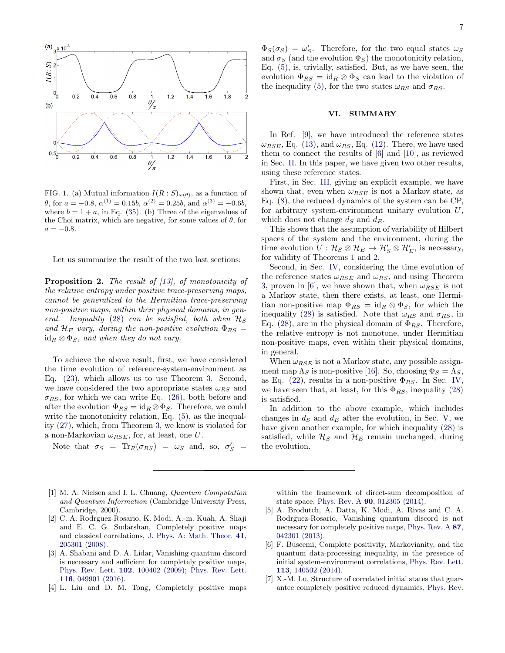

<span id="page-6-5"></span>FIG. 1. (a) Mutual information  $I(R: S)_{\omega(\theta)}$ , as a function of θ, for  $a = -0.8$ ,  $\alpha^{(1)} = 0.15b$ ,  $\alpha^{(2)} = 0.25b$ , and  $\alpha^{(3)} = -0.6b$ , where  $b = 1 + a$ , in Eq. [\(35\)](#page-5-4). (b) Three of the eigenvalues of the Choi matrix, which are negative, for some values of  $\theta$ , for  $a = -0.8$ .

Let us summarize the result of the two last sections:

Proposition 2. The result of [\[13\]](#page-7-5), of monotonicity of the relative entropy under positive trace-preserving maps, cannot be generalized to the Hermitian trace-preserving non-positive maps, within their physical domains, in gen-eral. Inequality [\(28\)](#page-4-7) can be satisfied, both when  $\mathcal{H}_S$ and  $\mathcal{H}_E$  vary, during the non-positive evolution  $\Phi_{RS}$  =  $id_R \otimes \Phi_S$ , and when they do not vary.

To achieve the above result, first, we have considered the time evolution of reference-system-environment as Eq. [\(23\)](#page-4-3), which allows us to use Theorem [3.](#page-4-1) Second, we have considered the two appropriate states  $\omega_{RS}$  and  $\sigma_{RS}$ , for which we can write Eq. [\(26\)](#page-4-5), both before and after the evolution  $\Phi_{RS} = id_R \otimes \Phi_S$ . Therefore, we could write the monotonicity relation, Eq. [\(5\)](#page-1-0), as the inequality [\(27\)](#page-4-6), which, from Theorem [3,](#page-4-1) we know is violated for a non-Markovian  $\omega_{RSE}$ , for, at least, one U.

Note that  $\sigma_S = \text{Tr}_R(\sigma_{RS}) = \omega_S$  and, so,  $\sigma_S' =$ 

 $\Phi_S(\sigma_S) = \omega_S'.$  Therefore, for the two equal states  $\omega_S$ and  $\sigma_S$  (and the evolution  $\Phi_S$ ) the monotonicity relation, Eq. [\(5\)](#page-1-0), is, trivially, satisfied. But, as we have seen, the evolution  $\Phi_{RS} = id_R \otimes \Phi_S$  can lead to the violation of the inequality [\(5\)](#page-1-0), for the two states  $\omega_{RS}$  and  $\sigma_{RS}$ .

## <span id="page-6-4"></span>VI. SUMMARY

In Ref. [\[9\]](#page-7-1), we have introduced the reference states  $\omega_{RSE}$ , Eq. [\(13\)](#page-2-3), and  $\omega_{RS}$ , Eq. [\(12\)](#page-2-7). There, we have used them to connect the results of [\[6\]](#page-6-2) and [\[10\]](#page-7-2), as reviewed in Sec. [II.](#page-1-6) In this paper, we have given two other results, using these reference states.

First, in Sec. [III,](#page-2-0) giving an explicit example, we have shown that, even when  $\omega_{RSE}$  is not a Markov state, as Eq. [\(8\)](#page-1-2), the reduced dynamics of the system can be CP, for arbitrary system-environment unitary evolution U, which does not change  $d_S$  and  $d_E$ .

This shows that the assumption of variability of Hilbert spaces of the system and the environment, during the time evolution  $U: \mathcal{H}_S \otimes \mathcal{H}_E \to \mathcal{H}'_S \otimes \mathcal{H}'_E$ , is necessary, for validity of Theorems [1](#page-1-4) and [2.](#page-2-6)

Second, in Sec. [IV,](#page-4-0) considering the time evolution of the reference states  $\omega_{RSE}$  and  $\omega_{RS}$ , and using Theorem [3,](#page-4-1) proven in [\[6\]](#page-6-2), we have shown that, when  $\omega_{RSE}$  is not a Markov state, then there exists, at least, one Hermitian non-positive map  $\Phi_{RS} = \mathrm{id}_R \otimes \Phi_S$ , for which the inequality [\(28\)](#page-4-7) is satisfied. Note that  $\omega_{RS}$  and  $\sigma_{RS}$ , in Eq. [\(28\)](#page-4-7), are in the physical domain of  $\Phi_{RS}$ . Therefore, the relative entropy is not monotone, under Hermitian non-positive maps, even within their physical domains, in general.

When  $\omega_{RSE}$  is not a Markov state, any possible assignment map  $\Lambda_S$  is non-positive [\[16\]](#page-7-8). So, choosing  $\Phi_S = \Lambda_S$ , as Eq. [\(22\)](#page-3-4), results in a non-positive  $\Phi_{RS}$ . In Sec. [IV,](#page-4-0) we have seen that, at least, for this  $\Phi_{RS}$ , inequality [\(28\)](#page-4-7) is satisfied.

In addition to the above example, which includes changes in  $d_S$  and  $d_E$  after the evolution, in Sec. [V,](#page-5-0) we have given another example, for which inequality [\(28\)](#page-4-7) is satisfied, while  $\mathcal{H}_S$  and  $\mathcal{H}_E$  remain unchanged, during the evolution.

- <span id="page-6-0"></span>[1] M. A. Nielsen and I. L. Chuang, *Quantum Computation* and Quantum Information (Cambridge University Press, Cambridge, 2000).
- <span id="page-6-1"></span>[2] C. A. Rodrguez-Rosario, K. Modi, A.-m. Kuah, A. Shaji and E. C. G. Sudarshan, Completely positive maps and classical correlations, [J. Phys. A: Math. Theor.](http://iopscience.iop.org/article/10.1088/1751-8113/41/20/205301/meta) 41, [205301 \(2008\).](http://iopscience.iop.org/article/10.1088/1751-8113/41/20/205301/meta)
- [3] A. Shabani and D. A. Lidar, Vanishing quantum discord is necessary and sufficient for completely positive maps, [Phys. Rev. Lett.](http://dx.doi.org/10.1103/PhysRevLett.102.100402) 102, 100402 (2009); [Phys. Rev. Lett.](http://dx.doi.org/10.1103/PhysRevLett.116.049901) 116[, 049901 \(2016\).](http://dx.doi.org/10.1103/PhysRevLett.116.049901)
- [4] L. Liu and D. M. Tong, Completely positive maps

within the framework of direct-sum decomposition of state space, Phys. Rev. A 90[, 012305 \(2014\).](http://dx.doi.org/10.1103/PhysRevA.90.012305)

- [5] A. Brodutch, A. Datta, K. Modi, A. Rivas and C. A. Rodrguez-Rosario, Vanishing quantum discord is not necessary for completely positive maps, [Phys. Rev. A](http://dx.doi.org/10.1103/PhysRevA.87.042301) 87, [042301 \(2013\).](http://dx.doi.org/10.1103/PhysRevA.87.042301)
- <span id="page-6-2"></span>[6] F. Buscemi, Complete positivity, Markovianity, and the quantum data-processing inequality, in the presence of initial system-environment correlations, [Phys. Rev. Lett.](http://dx.doi.org/10.1103/PhysRevLett.113.140502) 113[, 140502 \(2014\).](http://dx.doi.org/10.1103/PhysRevLett.113.140502)
- <span id="page-6-3"></span>[7] X.-M. Lu, Structure of correlated initial states that guarantee completely positive reduced dynamics, [Phys. Rev.](http://dx.doi.org/10.1103/PhysRevA.93.042332)